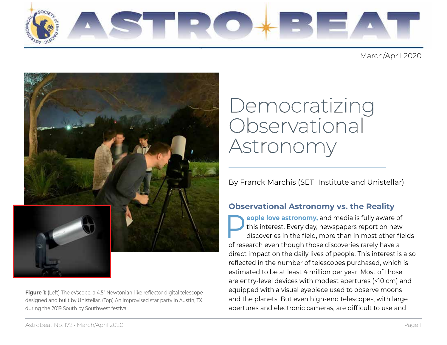

March/April 2020



**Figure 1:** (Left) The eVscope, a 4.5" Newtonian-like reflector digital telescope designed and built by Unistellar. (Top) An improvised star party in Austin, TX during the 2019 South by Southwest festival.

# Democratizing Observational Astronomy

# By Franck Marchis (SETI Institute and Unistellar)

**Institute the ASP of the ASP (a)** this interest. Every day, newspapers report on ne discoveries in the field, more than in most other of research even though those discoveries rarely have direct impact on the daily lives **People love astronomy,** and media is fully aware of<br>this interest. Every day, newspapers report on new<br>discoveries in the field, more than in most other field this interest. Every day, newspapers report on new discoveries in the field, more than in most other fields of research even though those discoveries rarely have a direct impact on the daily lives of people. This interest is also reflected in the number of telescopes purchased, which is estimated to be at least 4 million per year. Most of those are entry-level devices with modest apertures (<10 cm) and equipped with a visual eyepiece used to observe moons and the planets. But even high-end telescopes, with large apertures and electronic cameras, are difficult to use and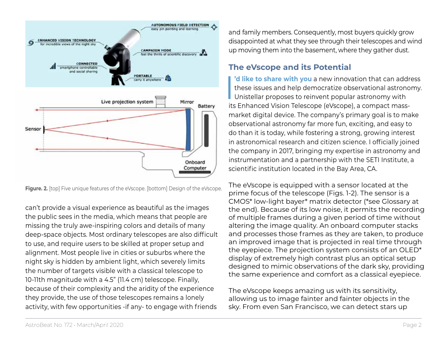

**Figure. 2.** [top] Five unique features of the eVscope. [bottom] Design of the eVscope.

can't provide a visual experience as beautiful as the images the public sees in the media, which means that people are missing the truly awe-inspiring colors and details of many deep-space objects. Most ordinary telescopes are also difficult to use, and require users to be skilled at proper setup and alignment. Most people live in cities or suburbs where the night sky is hidden by ambient light, which severely limits the number of targets visible with a classical telescope to 10-11th magnitude with a 4.5" (11.4 cm) telescope. Finally, because of their complexity and the aridity of the experience they provide, the use of those telescopes remains a lonely activity, with few opportunities -if any- to engage with friends

and family members. Consequently, most buyers quickly grow disappointed at what they see through their telescopes and wind up moving them into the basement, where they gather dust.

# **The eVscope and its Potential**

 $\overline{\mathbf{I}}$ **'d like to share with you** a new innovation that can address these issues and help democratize observational astronomy. Unistellar proposes to reinvent popular astronomy with its Enhanced Vision Telescope (eVscope), a compact massmarket digital device. The company's primary goal is to make observational astronomy far more fun, exciting, and easy to do than it is today, while fostering a strong, growing interest in astronomical research and citizen science. I officially joined the company in 2017, bringing my expertise in astronomy and instrumentation and a partnership with the SETI Institute, a scientific institution located in the Bay Area, CA.

The eVscope is equipped with a sensor located at the prime focus of the telescope (Figs. 1-2). The sensor is a CMOS\* low-light bayer\* matrix detector (\*see Glossary at the end). Because of its low noise, it permits the recording of multiple frames during a given period of time without altering the image quality. An onboard computer stacks and processes those frames as they are taken, to produce an improved image that is projected in real time through the eyepiece. The projection system consists of an OLED\* display of extremely high contrast plus an optical setup designed to mimic observations of the dark sky, providing the same experience and comfort as a classical eyepiece.

The eVscope keeps amazing us with its sensitivity, allowing us to image fainter and fainter objects in the sky. From even San Francisco, we can detect stars up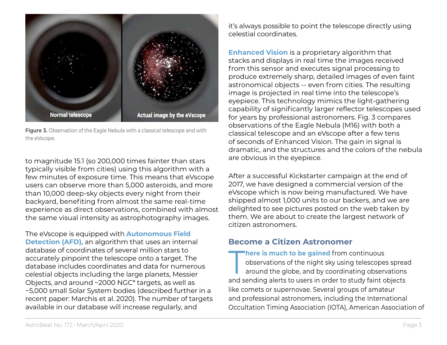

**Figure 3.** Observation of the Eagle Nebula with a classical telescope and with the eVscope.

to magnitude 15.1 (so 200,000 times fainter than stars typically visible from cities) using this algorithm with a few minutes of exposure time. This means that eVscope users can observe more than 5,000 asteroids, and more than 10,000 deep-sky objects every night from their backyard, benefiting from almost the same real-time experience as direct observations, combined with almost the same visual intensity as astrophotography images.

The eVscope is equipped with **Autonomous Field Detection (AFD),** an algorithm that uses an internal database of coordinates of several million stars to accurately pinpoint the telescope onto a target. The database includes coordinates and data for numerous celestial objects including the large planets, Messier Objects, and around ~2000 NGC\* targets, as well as ~5,000 small Solar System bodies (described further in a recent paper: Marchis et al. 2020). The number of targets available in our database will increase regularly, and

it's always possible to point the telescope directly using celestial coordinates.

**Enhanced Vision** is a proprietary algorithm that stacks and displays in real time the images received from this sensor and executes signal processing to produce extremely sharp, detailed images of even faint astronomical objects -- even from cities. The resulting image is projected in real time into the telescope's eyepiece. This technology mimics the light-gathering capability of significantly larger reflector telescopes used for years by professional astronomers. Fig. 3 compares observations of the Eagle Nebula (M16) with both a classical telescope and an eVscope after a few tens of seconds of Enhanced Vision. The gain in signal is dramatic, and the structures and the colors of the nebula are obvious in the eyepiece.

After a successful Kickstarter campaign at the end of 2017, we have designed a commercial version of the eVscope which is now being manufactured. We have shipped almost 1,000 units to our backers, and we are delighted to see pictures posted on the web taken by them. We are about to create the largest network of citizen astronomers.

# **Become a Citizen Astronomer**

**There is much to be gained** from continuous<br>observations of the night sky using telescope<br>around the globe, and by coordinating observed observations of the night sky using telescopes spread around the globe, and by coordinating observations and sending alerts to users in order to study faint objects like comets or supernovae. Several groups of amateur and professional astronomers, including the International Occultation Timing Association (IOTA), American Association of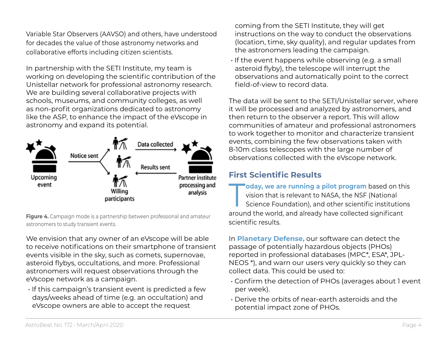Variable Star Observers (AAVSO) and others, have understood for decades the value of those astronomy networks and collaborative efforts including citizen scientists.

In partnership with the SETI Institute, my team is working on developing the scientific contribution of the Unistellar network for professional astronomy research. We are building several collaborative projects with schools, museums, and community colleges, as well as non-profit organizations dedicated to astronomy like the ASP, to enhance the impact of the eVscope in astronomy and expand its potential.



**Figure 4.** Campaign mode is a partnership between professional and amateur astronomers to study transient events.

We envision that any owner of an eVscope will be able to receive notifications on their smartphone of transient events visible in the sky, such as comets, supernovae, asteroid flybys, occultations, and more. Professional astronomers will request observations through the eVscope network as a campaign.

• If this campaign's transient event is predicted a few days/weeks ahead of time (e.g. an occultation) and eVscope owners are able to accept the request

coming from the SETI Institute, they will get instructions on the way to conduct the observations (location, time, sky quality), and regular updates from the astronomers leading the campaign.

• If the event happens while observing (e.g. a small asteroid flyby), the telescope will interrupt the observations and automatically point to the correct field-of-view to record data.

The data will be sent to the SETI/Unistellar server, where it will be processed and analyzed by astronomers, and then return to the observer a report. This will allow communities of amateur and professional astronomers to work together to monitor and characterize transient events, combining the few observations taken with 8-10m class telescopes with the large number of observations collected with the eVscope network.

# **First Scientific Results**

**Today, we are running a pilot program** based on this<br>vision that is relevant to NASA, the NSF (National<br>Science Foundation), and other scientific institutions vision that is relevant to NASA, the NSF (National Science Foundation), and other scientific institutions around the world, and already have collected significant scientific results.

In **Planetary Defense,** our software can detect the passage of potentially hazardous objects (PHOs) reported in professional databases (MPC\*, ESA\*, JPL-NEOS \*), and warn our users very quickly so they can collect data. This could be used to:

- Confirm the detection of PHOs (averages about 1 event per week).
- Derive the orbits of near-earth asteroids and the potential impact zone of PHOs.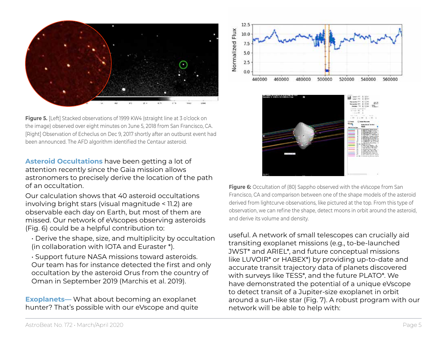

**Figure 5.** [Left] Stacked observations of 1999 KW4 (straight line at 3 o'clock on the image) observed over eight minutes on June 5, 2018 from San Francisco, CA. [Right] Observation of Echeclus on Dec 9, 2017 shortly after an outburst event had been announced. The AFD algorithm identified the Centaur asteroid.

**Asteroid Occultations** have been getting a lot of attention recently since the Gaia mission allows astronomers to precisely derive the location of the path of an occultation.

Our calculation shows that 40 asteroid occultations involving bright stars (visual magnitude < 11.2) are observable each day on Earth, but most of them are missed. Our network of eVscopes observing asteroids (Fig. 6) could be a helpful contribution to:

- Derive the shape, size, and multiplicity by occultation (in collaboration with IOTA and Euraster \*).
- Support future NASA missions toward asteroids. Our team has for instance detected the first and only occultation by the asteroid Orus from the country of Oman in September 2019 (Marchis et al. 2019).

**Exoplanets—** What about becoming an exoplanet hunter? That's possible with our eVscope and quite





**Figure 6:** Occultation of (80) Sappho observed with the eVscope from San Francisco, CA and comparison between one of the shape models of the asteroid derived from lightcurve observations, like pictured at the top. From this type of observation, we can refine the shape, detect moons in orbit around the asteroid, and derive its volume and density.

useful. A network of small telescopes can crucially aid transiting exoplanet missions (e.g., to-be-launched JWST\* and ARIEL\*, and future conceptual missions like LUVOIR\* or HABEX\*) by providing up-to-date and accurate transit trajectory data of planets discovered with surveys like TESS\*, and the future PLATO\*. We have demonstrated the potential of a unique eVscope to detect transit of a Jupiter-size exoplanet in orbit around a sun-like star (Fig. 7). A robust program with our network will be able to help with: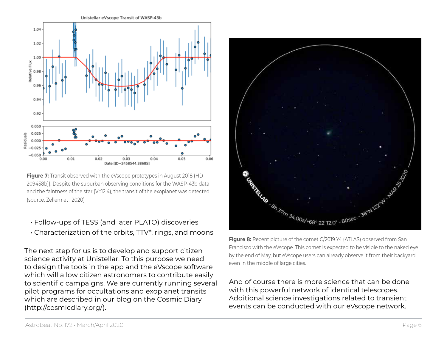

**Figure 7:** Transit observed with the eVscope prototypes in August 2018 (HD 209458b)). Despite the suburban observing conditions for the WASP-43b data and the faintness of the star (V=12.4), the transit of the exoplanet was detected. (source: Zellem et . 2020)

- Follow-ups of TESS (and later PLATO) discoveries
- Characterization of the orbits, TTV\*, rings, and moons

The next step for us is to develop and support citizen science activity at Unistellar. To this purpose we need to design the tools in the app and the eVscope software which will allow citizen astronomers to contribute easily to scientific campaigns. We are currently running several pilot programs for occultations and exoplanet transits which are described in our blog on the Cosmic Diary [\(http://cosmicdiary.org/\)](http://cosmicdiary.org/).



Francisco with the eVscope. This comet is expected to be visible to the naked eye by the end of May, but eVscope users can already observe it from their backyard even in the middle of large cities.

And of course there is more science that can be done with this powerful network of identical telescopes. Additional science investigations related to transient events can be conducted with our eVscope network.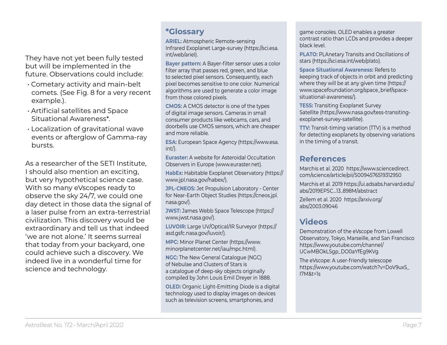They have not yet been fully tested but will be implemented in the future. Observations could include:

- Cometary activity and main-belt comets. (See Fig. 8 for a very recent example.).
- Artificial satellites and Space Situational Awareness\*.
- Localization of gravitational wave events or afterglow of Gamma-ray bursts.

As a researcher of the SETI Institute, I should also mention an exciting, but very hypothetical science case. With so many eVscopes ready to observe the sky 24/7, we could one day detect in those data the signal of a laser pulse from an extra-terrestrial civilization. This discovery would be extraordinary and tell us that indeed 'we are not alone.' It seems surreal that today from your backyard, one could achieve such a discovery. We indeed live in a wonderful time for science and technology.

### **\*Glossary**

**ARIEL:** Atmospheric Remote-sensing Infrared Exoplanet Large-survey [\(https://sci.esa.](https://sci.esa.int/web/ariel) [int/web/ariel](https://sci.esa.int/web/ariel)).

**Bayer pattern:** A Bayer-filter sensor uses a color filter array that passes red, green, and blue to selected pixel sensors. Consequently, each pixel becomes sensitive to one color. Numerical algorithms are used to generate a color image from those colored pixels.

**CMOS:** A CMOS detector is one of the types of digital image sensors. Cameras in small consumer products like webcams, cars, and doorbells use CMOS sensors, which are cheaper and more reliable.

**ESA:** European Space Agency ([https://www.esa.](https://www.esa.int/) [int/](https://www.esa.int/)).

**Euraster:** A website for Asteroidal Occultation Observers in Europe ([www.euraster.net\)](http://www.euraster.net).

**HabEx:** Habitable Exoplanet Observatory [\(https://](https://www.jpl.nasa.gov/habex/) [www.jpl.nasa.gov/habex/\)](https://www.jpl.nasa.gov/habex/).

**JPL-CNEOS:** Jet Propulsion Laboratory - Center for Near-Earth Object Studies ([https://cneos.jpl.](https://cneos.jpl.nasa.gov/) [nasa.gov/\)](https://cneos.jpl.nasa.gov/).

**JWST:** James Webb Space Telescope ([https://](https://www.jwst.nasa.gov/) [www.jwst.nasa.gov/\)](https://www.jwst.nasa.gov/).

**LUVOIR:** Large UV/Optical/IR Surveyor [\(https://](https://asd.gsfc.nasa.gov/luvoir/) [asd.gsfc.nasa.gov/luvoir/\)](https://asd.gsfc.nasa.gov/luvoir/).

**MPC:** Minor Planet Center [\(https://www.](https://www.minorplanetcenter.net/iau/mpc.html) [minorplanetcenter.net/iau/mpc.html](https://www.minorplanetcenter.net/iau/mpc.html)).

**NGC:** The New General Catalogue (NGC) of Nebulae and Clusters of Stars is a catalogue of deep-sky objects originally compiled by John Louis Emil Dreyer in 1888.

**OLED:** Organic Light-Emitting Diode is a digital technology used to display images on devices such as television screens, smartphones, and

game consoles. OLED enables a greater contrast ratio than LCDs and provides a deeper black level.

**PLATO:** PLAnetary Transits and Oscillations of stars (<https://sci.esa.int/web/plato>).

**Space Situational Awareness:** Refers to keeping track of objects in orbit and predicting where they will be at any given time [\(https://](https://www.spacefoundation.org/space_brief/space-situational-awareness/) [www.spacefoundation.org/space\\_brief/space](https://www.spacefoundation.org/space_brief/space-situational-awareness/)[situational-awareness/\)](https://www.spacefoundation.org/space_brief/space-situational-awareness/).

**TESS:** Transiting Exoplanet Survey Satellite ([https://www.nasa.gov/tess-transiting](https://www.nasa.gov/tess-transiting-exoplanet-survey-satellite)[exoplanet-survey-satellite\)](https://www.nasa.gov/tess-transiting-exoplanet-survey-satellite).

**TTV:** Transit-timing variation (TTV) is a method for detecting exoplanets by observing variations in the timing of a transit.

## **References**

Marchis et al. 2020 [https://www.sciencedirect.](https://www.sciencedirect.com/science/article/pii/S0094576519312950) [com/science/article/pii/S0094576519312950](https://www.sciencedirect.com/science/article/pii/S0094576519312950)

Marchis et al. 2019 [https://ui.adsabs.harvard.edu/](https://ui.adsabs.harvard.edu/abs/2019EPSC...13..898M/abstract) [abs/2019EPSC...13..898M/abstract](https://ui.adsabs.harvard.edu/abs/2019EPSC...13..898M/abstract)

Zellem et al. 2020 [https://arxiv.org/](https://arxiv.org/abs/2003.09046) [abs/2003.09046](https://arxiv.org/abs/2003.09046)

# **Videos**

Demonstration of the eVscope from Lowell Observatory, Tokyo, Marseille, and San Francisco [https://www.youtube.com/channel/](https://www.youtube.com/channel/UCwMBOkLSgp_DO0aYfEg9KVg) [UCwMBOkLSgp\\_DO0aYfEg9KVg](https://www.youtube.com/channel/UCwMBOkLSgp_DO0aYfEg9KVg)

The eVscope: A user-friendly telescope [https://www.youtube.com/watch?v=DoV9ux5\\_](https://www.youtube.com/watch?v=DoV9ux5_I7M&t=1s) [I7M&t=1s](https://www.youtube.com/watch?v=DoV9ux5_I7M&t=1s)